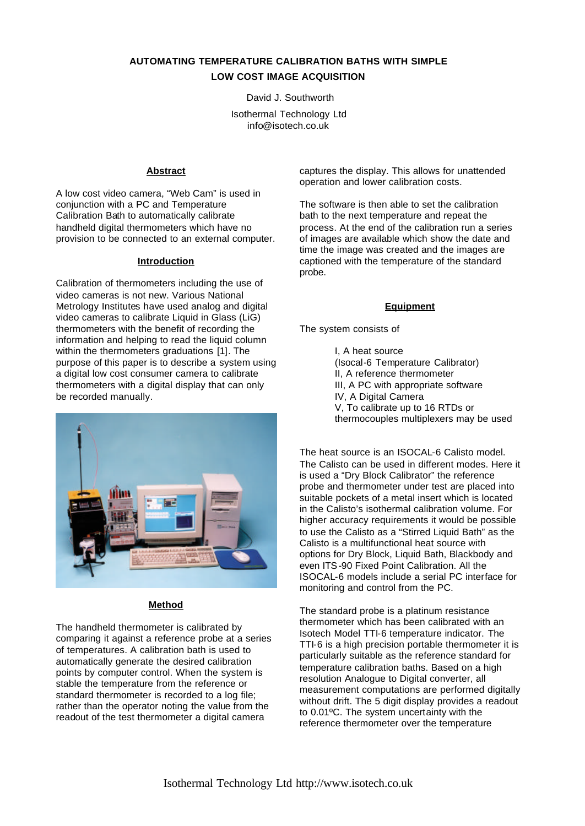# **AUTOMATING TEMPERATURE CALIBRATION BATHS WITH SIMPLE LOW COST IMAGE ACQUISITION**

David J. Southworth

Isothermal Technology Ltd info@isotech.co.uk

#### **Abstract**

A low cost video camera, "Web Cam" is used in conjunction with a PC and Temperature Calibration Bath to automatically calibrate handheld digital thermometers which have no provision to be connected to an external computer.

#### **Introduction**

Calibration of thermometers including the use of video cameras is not new. Various National Metrology Institutes have used analog and digital video cameras to calibrate Liquid in Glass (LiG) thermometers with the benefit of recording the information and helping to read the liquid column within the thermometers graduations [1]. The purpose of this paper is to describe a system using a digital low cost consumer camera to calibrate thermometers with a digital display that can only be recorded manually.



### **Method**

The handheld thermometer is calibrated by comparing it against a reference probe at a series of temperatures. A calibration bath is used to automatically generate the desired calibration points by computer control. When the system is stable the temperature from the reference or standard thermometer is recorded to a log file; rather than the operator noting the value from the readout of the test thermometer a digital camera

captures the display. This allows for unattended operation and lower calibration costs.

The software is then able to set the calibration bath to the next temperature and repeat the process. At the end of the calibration run a series of images are available which show the date and time the image was created and the images are captioned with the temperature of the standard probe.

#### **Equipment**

The system consists of

I, A heat source (Isocal-6 Temperature Calibrator) II, A reference thermometer III, A PC with appropriate software IV. A Digital Camera V, To calibrate up to 16 RTDs or thermocouples multiplexers may be used

The heat source is an ISOCAL-6 Calisto model. The Calisto can be used in different modes. Here it is used a "Dry Block Calibrator" the reference probe and thermometer under test are placed into suitable pockets of a metal insert which is located in the Calisto's isothermal calibration volume. For higher accuracy requirements it would be possible to use the Calisto as a "Stirred Liquid Bath" as the Calisto is a multifunctional heat source with options for Dry Block, Liquid Bath, Blackbody and even ITS-90 Fixed Point Calibration. All the ISOCAL-6 models include a serial PC interface for monitoring and control from the PC.

The standard probe is a platinum resistance thermometer which has been calibrated with an Isotech Model TTI-6 temperature indicator. The TTI-6 is a high precision portable thermometer it is particularly suitable as the reference standard for temperature calibration baths. Based on a high resolution Analogue to Digital converter, all measurement computations are performed digitally without drift. The 5 digit display provides a readout to 0.01ºC. The system uncertainty with the reference thermometer over the temperature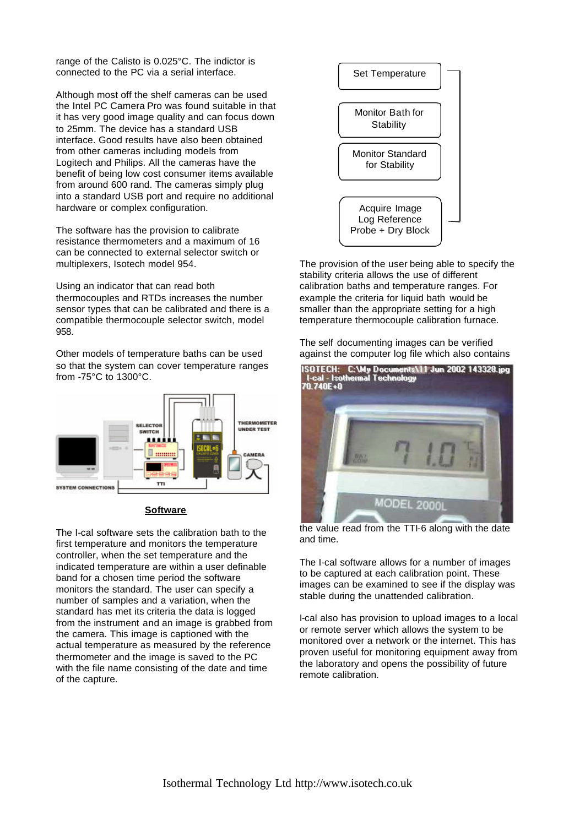range of the Calisto is 0.025°C. The indictor is connected to the PC via a serial interface.

Although most off the shelf cameras can be used the Intel PC Camera Pro was found suitable in that it has very good image quality and can focus down to 25mm. The device has a standard USB interface. Good results have also been obtained from other cameras including models from Logitech and Philips. All the cameras have the benefit of being low cost consumer items available from around 600 rand. The cameras simply plug into a standard USB port and require no additional hardware or complex configuration.

The software has the provision to calibrate resistance thermometers and a maximum of 16 can be connected to external selector switch or multiplexers, Isotech model 954.

Using an indicator that can read both thermocouples and RTDs increases the number sensor types that can be calibrated and there is a compatible thermocouple selector switch, model 958.

Other models of temperature baths can be used so that the system can cover temperature ranges from -75°C to 1300°C.



#### **Software**

The I-cal software sets the calibration bath to the first temperature and monitors the temperature controller, when the set temperature and the indicated temperature are within a user definable band for a chosen time period the software monitors the standard. The user can specify a number of samples and a variation, when the standard has met its criteria the data is logged from the instrument and an image is grabbed from the camera. This image is captioned with the actual temperature as measured by the reference thermometer and the image is saved to the PC with the file name consisting of the date and time of the capture.



The provision of the user being able to specify the stability criteria allows the use of different calibration baths and temperature ranges. For example the criteria for liquid bath would be smaller than the appropriate setting for a high temperature thermocouple calibration furnace.

The self documenting images can be verified against the computer log file which also contains



the value read from the TTI-6 along with the date and time.

The I-cal software allows for a number of images to be captured at each calibration point. These images can be examined to see if the display was stable during the unattended calibration.

I-cal also has provision to upload images to a local or remote server which allows the system to be monitored over a network or the internet. This has proven useful for monitoring equipment away from the laboratory and opens the possibility of future remote calibration.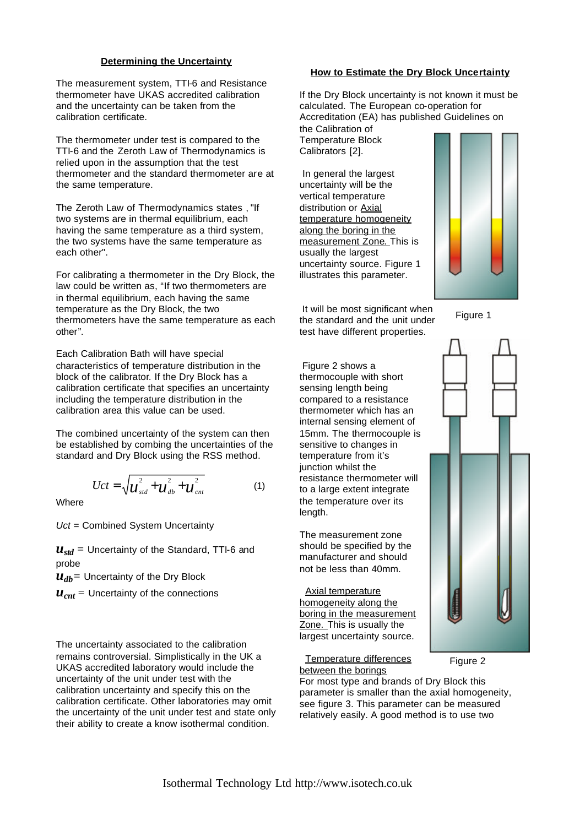### **Determining the Uncertainty**

The measurement system, TTI-6 and Resistance thermometer have UKAS accredited calibration and the uncertainty can be taken from the calibration certificate.

The thermometer under test is compared to the TTI-6 and the Zeroth Law of Thermodynamics is relied upon in the assumption that the test thermometer and the standard thermometer are at the same temperature.

The Zeroth Law of Thermodynamics states , "If two systems are in thermal equilibrium, each having the same temperature as a third system, the two systems have the same temperature as each other".

For calibrating a thermometer in the Dry Block, the law could be written as, "If two thermometers are in thermal equilibrium, each having the same temperature as the Dry Block, the two thermometers have the same temperature as each other".

Each Calibration Bath will have special characteristics of temperature distribution in the block of the calibrator. If the Dry Block has a calibration certificate that specifies an uncertainty including the temperature distribution in the calibration area this value can be used.

The combined uncertainty of the system can then be established by combing the uncertainties of the standard and Dry Block using the RSS method.

$$
Uct = \sqrt{u_{std}^2 + u_{db}^2 + u_{cnt}^2}
$$
 (1)

**Where** 

*Uct* = Combined System Uncertainty

 $u_{std}$  = Uncertainty of the Standard, TTI-6 and probe

*udb=* Uncertainty of the Dry Block

 $u_{cnt}$  = Uncertainty of the connections

The uncertainty associated to the calibration remains controversial. Simplistically in the UK a UKAS accredited laboratory would include the uncertainty of the unit under test with the calibration uncertainty and specify this on the calibration certificate. Other laboratories may omit the uncertainty of the unit under test and state only their ability to create a know isothermal condition.

## **How to Estimate the Dry Block Uncertainty**

If the Dry Block uncertainty is not known it must be calculated. The European co-operation for Accreditation (EA) has published Guidelines on the Calibration of

Temperature Block Calibrators [2].

 In general the largest uncertainty will be the vertical temperature distribution or Axial temperature homogeneity along the boring in the measurement Zone. This is usually the largest uncertainty source. Figure 1 illustrates this parameter.



 It will be most significant when the standard and the unit under test have different properties.

 Figure 2 shows a thermocouple with short sensing length being compared to a resistance thermometer which has an internal sensing element of 15mm. The thermocouple is sensitive to changes in temperature from it's junction whilst the resistance thermometer will to a large extent integrate the temperature over its length.

The measurement zone should be specified by the manufacturer and should not be less than 40mm.

 Axial temperature homogeneity along the boring in the measurement Zone. This is usually the largest uncertainty source.

 Temperature differences between the borings

For most type and brands of Dry Block this parameter is smaller than the axial homogeneity, see figure 3. This parameter can be measured relatively easily. A good method is to use two

Figure 1



Figure 2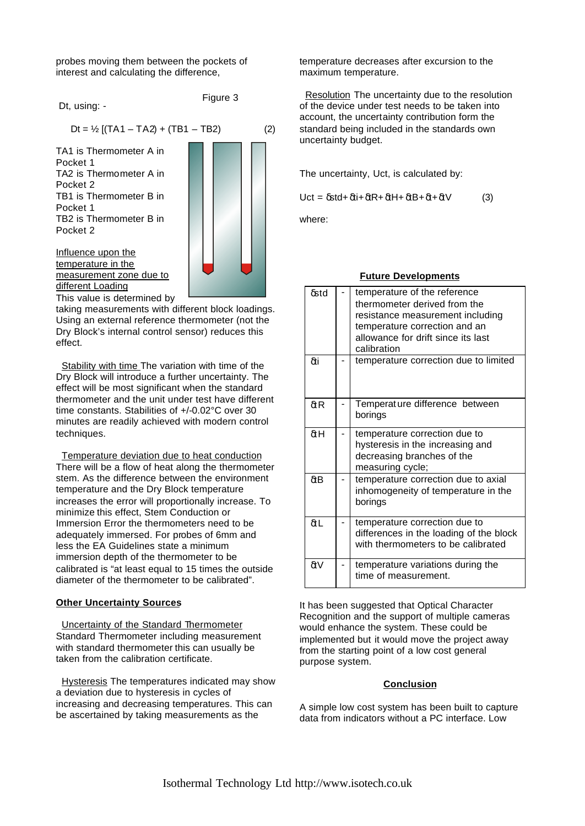probes moving them between the pockets of interest and calculating the difference,

Dt, using: -

Figure 3

TA1 is Thermometer A in Pocket 1 TA2 is Thermometer A in Pocket 2 TB1 is Thermometer B in Pocket 1 TB2 is Thermometer B in Pocket 2



Influence upon the temperature in the measurement zone due to different Loading

This value is determined by taking measurements with different block loadings. Using an external reference thermometer (not the Dry Block's internal control sensor) reduces this effect.

 Stability with time The variation with time of the Dry Block will introduce a further uncertainty. The effect will be most significant when the standard thermometer and the unit under test have different time constants. Stabilities of +/-0.02°C over 30 minutes are readily achieved with modern control techniques.

 Temperature deviation due to heat conduction There will be a flow of heat along the thermometer stem. As the difference between the environment temperature and the Dry Block temperature increases the error will proportionally increase. To minimize this effect, Stem Conduction or Immersion Error the thermometers need to be adequately immersed. For probes of 6mm and less the EA Guidelines state a minimum immersion depth of the thermometer to be calibrated is "at least equal to 15 times the outside diameter of the thermometer to be calibrated".

### **Other Uncertainty Sources**

 Uncertainty of the Standard Thermometer Standard Thermometer including measurement with standard thermometer this can usually be taken from the calibration certificate.

 Hysteresis The temperatures indicated may show a deviation due to hysteresis in cycles of increasing and decreasing temperatures. This can be ascertained by taking measurements as the

temperature decreases after excursion to the maximum temperature.

 Resolution The uncertainty due to the resolution of the device under test needs to be taken into account, the uncertainty contribution form the standard being included in the standards own uncertainty budget.

The uncertainty, Uct, is calculated by:

Uct =  $\delta$ std+ $\delta$ ti+ $\delta$ tR+ $\delta$ tH+ $\delta$ tB+ $\delta$ t+ $\delta$ tV (3)

where:

### **Future Developments**

| δstd         | temperature of the reference<br>thermometer derived from the<br>resistance measurement including<br>temperature correction and an<br>allowance for drift since its last<br>calibration |
|--------------|----------------------------------------------------------------------------------------------------------------------------------------------------------------------------------------|
| δti          | temperature correction due to limited                                                                                                                                                  |
| $\delta t R$ | Temperat ure difference between<br>borings                                                                                                                                             |
| δtΗ          | temperature correction due to<br>hysteresis in the increasing and<br>decreasing branches of the<br>measuring cycle;                                                                    |
| δtΒ          | temperature correction due to axial<br>inhomogeneity of temperature in the<br>borings                                                                                                  |
| δtL          | temperature correction due to<br>differences in the loading of the block<br>with thermometers to be calibrated                                                                         |
| δtV          | temperature variations during the<br>time of measurement.                                                                                                                              |

It has been suggested that Optical Character Recognition and the support of multiple cameras would enhance the system. These could be implemented but it would move the project away from the starting point of a low cost general purpose system.

### **Conclusion**

A simple low cost system has been built to capture data from indicators without a PC interface. Low